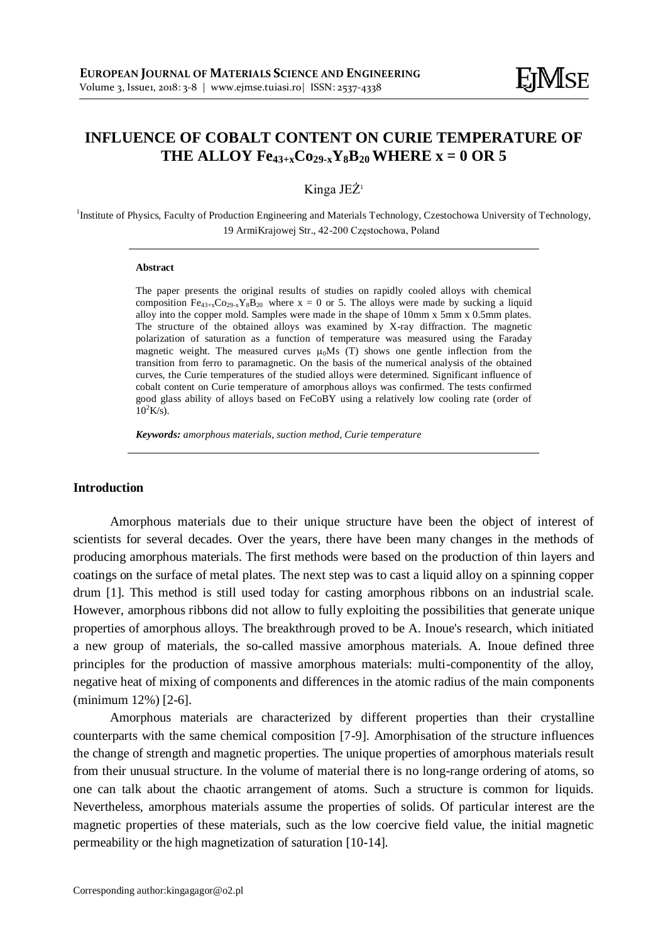# **INFLUENCE OF COBALT CONTENT ON CURIE TEMPERATURE OF THE ALLOY Fe**<sub>43+x</sub> $\text{Co}_{29-x}\text{Y}_8\text{B}_{20}$  **WHERE x** = 0 OR 5

# Kinga JEŻ<sup>1</sup>

<sup>1</sup>Institute of Physics, Faculty of Production Engineering and Materials Technology, Czestochowa University of Technology, 19 ArmiKrajowej Str., 42-200 Częstochowa, Poland

#### **Abstract**

The paper presents the original results of studies on rapidly cooled alloys with chemical composition  $Fe_{43+x}Co_{29-x}Y_8B_{20}$  where x = 0 or 5. The alloys were made by sucking a liquid alloy into the copper mold. Samples were made in the shape of 10mm x 5mm x 0.5mm plates. The structure of the obtained alloys was examined by X-ray diffraction. The magnetic polarization of saturation as a function of temperature was measured using the Faraday magnetic weight. The measured curves  $\mu_0$ Ms (T) shows one gentle inflection from the transition from ferro to paramagnetic. On the basis of the numerical analysis of the obtained curves, the Curie temperatures of the studied alloys were determined. Significant influence of cobalt content on Curie temperature of amorphous alloys was confirmed. The tests confirmed good glass ability of alloys based on FeCoBY using a relatively low cooling rate (order of  $10^2$ K/s).

*Keywords: amorphous materials, suction method, Curie temperature*

## **Introduction**

Amorphous materials due to their unique structure have been the object of interest of scientists for several decades. Over the years, there have been many changes in the methods of producing amorphous materials. The first methods were based on the production of thin layers and coatings on the surface of metal plates. The next step was to cast a liquid alloy on a spinning copper drum [1]. This method is still used today for casting amorphous ribbons on an industrial scale. However, amorphous ribbons did not allow to fully exploiting the possibilities that generate unique properties of amorphous alloys. The breakthrough proved to be A. Inoue's research, which initiated a new group of materials, the so-called massive amorphous materials. A. Inoue defined three principles for the production of massive amorphous materials: multi-componentity of the alloy, negative heat of mixing of components and differences in the atomic radius of the main components (minimum 12%) [2-6].

Amorphous materials are characterized by different properties than their crystalline counterparts with the same chemical composition [7-9]. Amorphisation of the structure influences the change of strength and magnetic properties. The unique properties of amorphous materials result from their unusual structure. In the volume of material there is no long-range ordering of atoms, so one can talk about the chaotic arrangement of atoms. Such a structure is common for liquids. Nevertheless, amorphous materials assume the properties of solids. Of particular interest are the magnetic properties of these materials, such as the low coercive field value, the initial magnetic permeability or the high magnetization of saturation [10-14].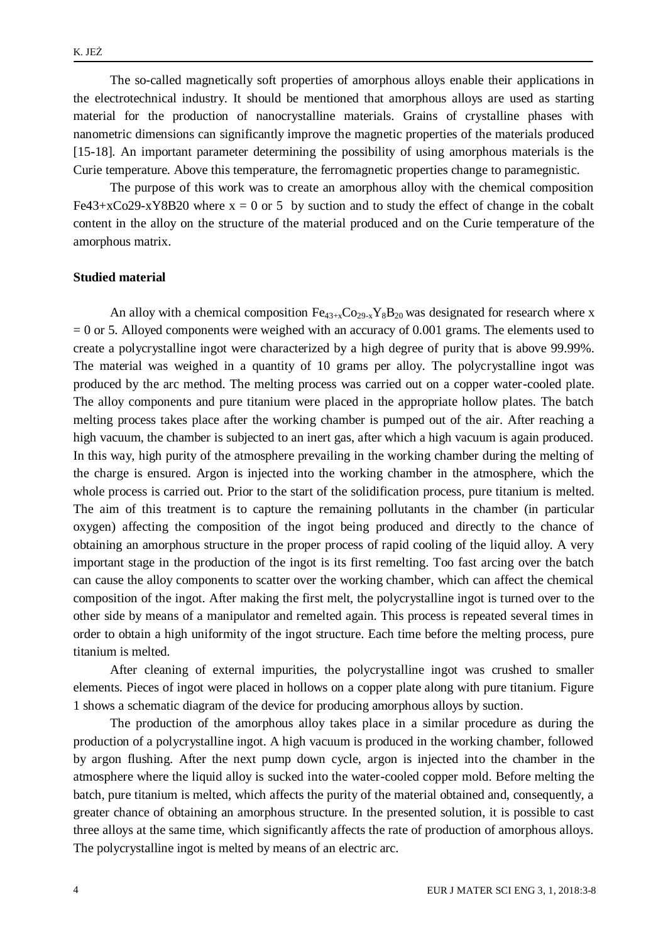The so-called magnetically soft properties of amorphous alloys enable their applications in the electrotechnical industry. It should be mentioned that amorphous alloys are used as starting material for the production of nanocrystalline materials. Grains of crystalline phases with nanometric dimensions can significantly improve the magnetic properties of the materials produced [15-18]. An important parameter determining the possibility of using amorphous materials is the Curie temperature. Above this temperature, the ferromagnetic properties change to paramegnistic.

The purpose of this work was to create an amorphous alloy with the chemical composition  $Fe43+xCo29-xY8B20$  where  $x = 0$  or 5 by suction and to study the effect of change in the cobalt content in the alloy on the structure of the material produced and on the Curie temperature of the amorphous matrix.

## **Studied material**

An alloy with a chemical composition  $Fe_{43+x}Co_{29-x}Y_8B_{20}$  was designated for research where x  $= 0$  or 5. Alloyed components were weighed with an accuracy of 0.001 grams. The elements used to create a polycrystalline ingot were characterized by a high degree of purity that is above 99.99%. The material was weighed in a quantity of 10 grams per alloy. The polycrystalline ingot was produced by the arc method. The melting process was carried out on a copper water-cooled plate. The alloy components and pure titanium were placed in the appropriate hollow plates. The batch melting process takes place after the working chamber is pumped out of the air. After reaching a high vacuum, the chamber is subjected to an inert gas, after which a high vacuum is again produced. In this way, high purity of the atmosphere prevailing in the working chamber during the melting of the charge is ensured. Argon is injected into the working chamber in the atmosphere, which the whole process is carried out. Prior to the start of the solidification process, pure titanium is melted. The aim of this treatment is to capture the remaining pollutants in the chamber (in particular oxygen) affecting the composition of the ingot being produced and directly to the chance of obtaining an amorphous structure in the proper process of rapid cooling of the liquid alloy. A very important stage in the production of the ingot is its first remelting. Too fast arcing over the batch can cause the alloy components to scatter over the working chamber, which can affect the chemical composition of the ingot. After making the first melt, the polycrystalline ingot is turned over to the other side by means of a manipulator and remelted again. This process is repeated several times in order to obtain a high uniformity of the ingot structure. Each time before the melting process, pure titanium is melted.

After cleaning of external impurities, the polycrystalline ingot was crushed to smaller elements. Pieces of ingot were placed in hollows on a copper plate along with pure titanium. Figure 1 shows a schematic diagram of the device for producing amorphous alloys by suction.

The production of the amorphous alloy takes place in a similar procedure as during the production of a polycrystalline ingot. A high vacuum is produced in the working chamber, followed by argon flushing. After the next pump down cycle, argon is injected into the chamber in the atmosphere where the liquid alloy is sucked into the water-cooled copper mold. Before melting the batch, pure titanium is melted, which affects the purity of the material obtained and, consequently, a greater chance of obtaining an amorphous structure. In the presented solution, it is possible to cast three alloys at the same time, which significantly affects the rate of production of amorphous alloys. The polycrystalline ingot is melted by means of an electric arc.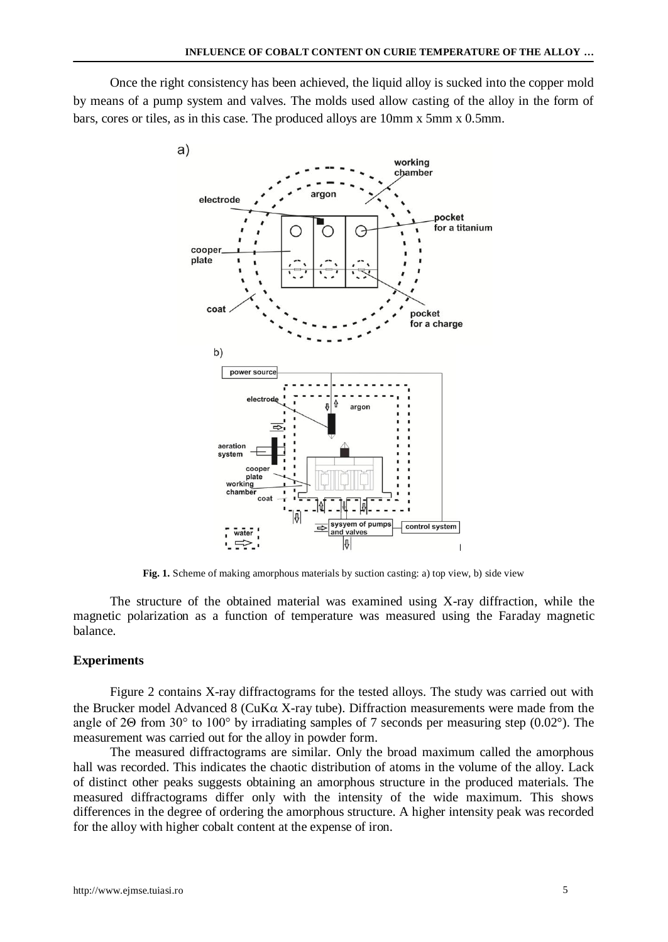Once the right consistency has been achieved, the liquid alloy is sucked into the copper mold by means of a pump system and valves. The molds used allow casting of the alloy in the form of bars, cores or tiles, as in this case. The produced alloys are 10mm x 5mm x 0.5mm.



**Fig. 1.** Scheme of making amorphous materials by suction casting: a) top view, b) side view

The structure of the obtained material was examined using X-ray diffraction, while the magnetic polarization as a function of temperature was measured using the Faraday magnetic balance.

#### **Experiments**

Figure 2 contains X-ray diffractograms for the tested alloys. The study was carried out with the Brucker model Advanced 8 (CuK $\alpha$  X-ray tube). Diffraction measurements were made from the angle of 2Θ from 30° to 100° by irradiating samples of 7 seconds per measuring step (0.02°). The measurement was carried out for the alloy in powder form.

The measured diffractograms are similar. Only the broad maximum called the amorphous hall was recorded. This indicates the chaotic distribution of atoms in the volume of the alloy. Lack of distinct other peaks suggests obtaining an amorphous structure in the produced materials. The measured diffractograms differ only with the intensity of the wide maximum. This shows differences in the degree of ordering the amorphous structure. A higher intensity peak was recorded for the alloy with higher cobalt content at the expense of iron.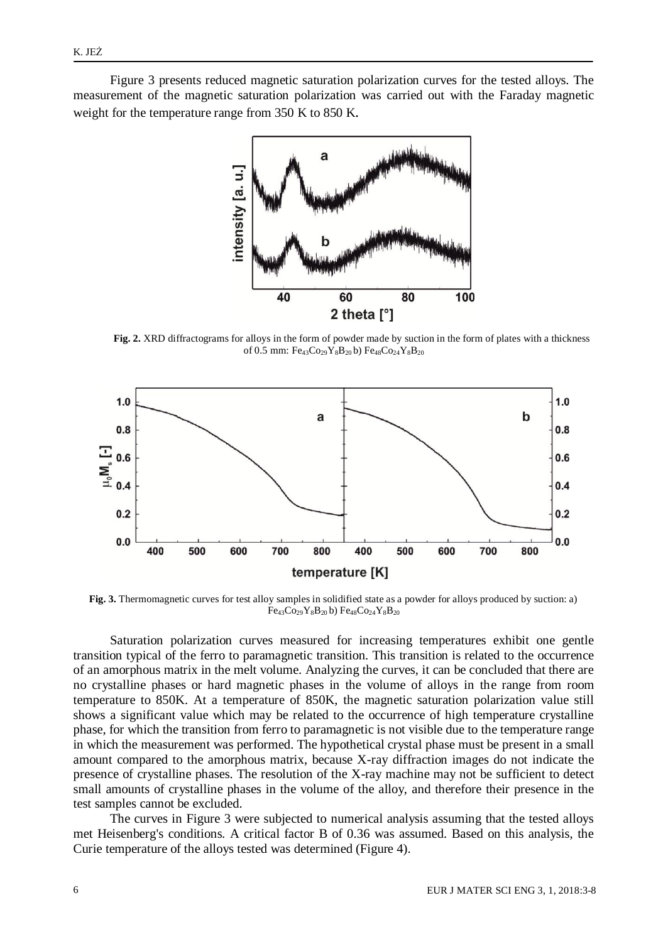Figure 3 presents reduced magnetic saturation polarization curves for the tested alloys. The measurement of the magnetic saturation polarization was carried out with the Faraday magnetic weight for the temperature range from 350 K to 850 K.



**Fig. 2.** XRD diffractograms for alloys in the form of powder made by suction in the form of plates with a thickness of 0.5 mm:  $Fe_{43}Co_{29}Y_8B_{20}$  b)  $Fe_{48}Co_{24}Y_8B_{20}$ 



**Fig. 3.** Thermomagnetic curves for test alloy samples in solidified state as a powder for alloys produced by suction: a) Fe43Co29Y8B20 b) Fe48Co24Y8B<sup>20</sup>

Saturation polarization curves measured for increasing temperatures exhibit one gentle transition typical of the ferro to paramagnetic transition. This transition is related to the occurrence of an amorphous matrix in the melt volume. Analyzing the curves, it can be concluded that there are no crystalline phases or hard magnetic phases in the volume of alloys in the range from room temperature to 850K. At a temperature of 850K, the magnetic saturation polarization value still shows a significant value which may be related to the occurrence of high temperature crystalline phase, for which the transition from ferro to paramagnetic is not visible due to the temperature range in which the measurement was performed. The hypothetical crystal phase must be present in a small amount compared to the amorphous matrix, because X-ray diffraction images do not indicate the presence of crystalline phases. The resolution of the X-ray machine may not be sufficient to detect small amounts of crystalline phases in the volume of the alloy, and therefore their presence in the test samples cannot be excluded.

The curves in Figure 3 were subjected to numerical analysis assuming that the tested alloys met Heisenberg's conditions. A critical factor B of 0.36 was assumed. Based on this analysis, the Curie temperature of the alloys tested was determined (Figure 4).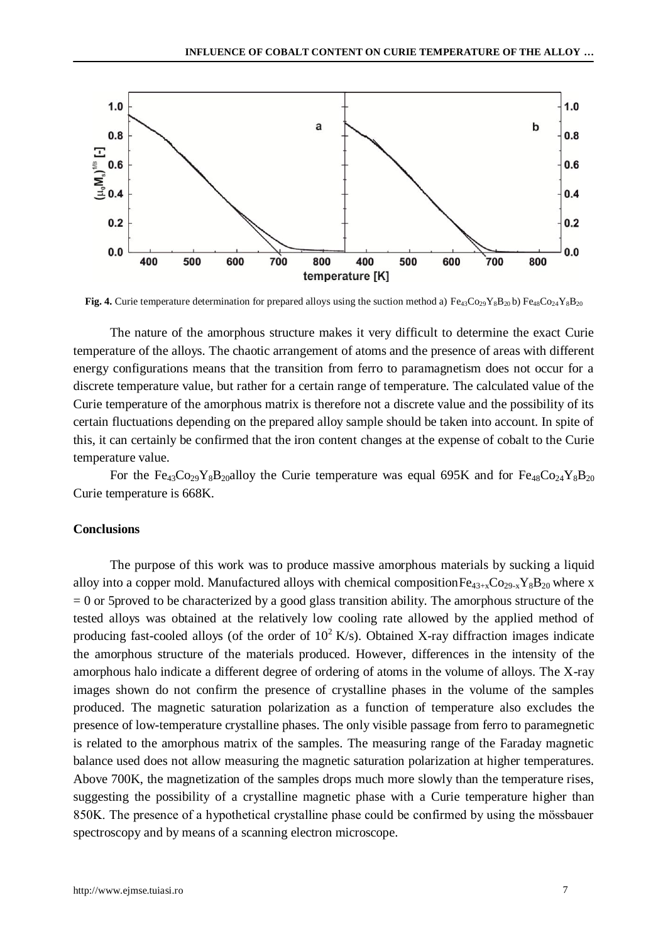

**Fig. 4.** Curie temperature determination for prepared alloys using the suction method a)  $Fe_{43}Co_{29}Y_8B_{20}$  b)  $Fe_{48}Co_{24}Y_8B_{20}$ 

The nature of the amorphous structure makes it very difficult to determine the exact Curie temperature of the alloys. The chaotic arrangement of atoms and the presence of areas with different energy configurations means that the transition from ferro to paramagnetism does not occur for a discrete temperature value, but rather for a certain range of temperature. The calculated value of the Curie temperature of the amorphous matrix is therefore not a discrete value and the possibility of its certain fluctuations depending on the prepared alloy sample should be taken into account. In spite of this, it can certainly be confirmed that the iron content changes at the expense of cobalt to the Curie temperature value.

For the Fe<sub>43</sub>Co<sub>29</sub>Y<sub>8</sub>B<sub>20</sub>alloy the Curie temperature was equal 695K and for Fe<sub>48</sub>Co<sub>24</sub>Y<sub>8</sub>B<sub>20</sub> Curie temperature is 668K.

#### **Conclusions**

The purpose of this work was to produce massive amorphous materials by sucking a liquid alloy into a copper mold. Manufactured alloys with chemical composition  $Fe_{43+x}Co_{29-x}Y_8B_{20}$  where x = 0 or 5proved to be characterized by a good glass transition ability. The amorphous structure of the tested alloys was obtained at the relatively low cooling rate allowed by the applied method of producing fast-cooled alloys (of the order of  $10^2$  K/s). Obtained X-ray diffraction images indicate the amorphous structure of the materials produced. However, differences in the intensity of the amorphous halo indicate a different degree of ordering of atoms in the volume of alloys. The X-ray images shown do not confirm the presence of crystalline phases in the volume of the samples produced. The magnetic saturation polarization as a function of temperature also excludes the presence of low-temperature crystalline phases. The only visible passage from ferro to paramegnetic is related to the amorphous matrix of the samples. The measuring range of the Faraday magnetic balance used does not allow measuring the magnetic saturation polarization at higher temperatures. Above 700K, the magnetization of the samples drops much more slowly than the temperature rises, suggesting the possibility of a crystalline magnetic phase with a Curie temperature higher than 850K. The presence of a hypothetical crystalline phase could be confirmed by using the mӧssbauer spectroscopy and by means of a scanning electron microscope.